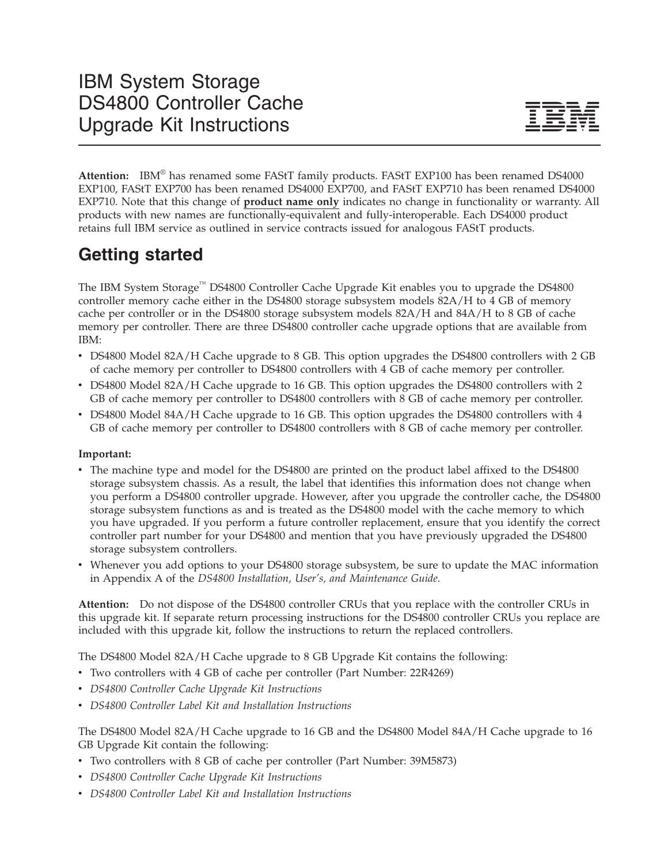

**Attention:** IBM® has renamed some FAStT family products. FAStT EXP100 has been renamed DS4000 EXP100, FAStT EXP700 has been renamed DS4000 EXP700, and FAStT EXP710 has been renamed DS4000 EXP710. Note that this change of **product name only** indicates no change in functionality or warranty. All products with new names are functionally-equivalent and fully-interoperable. Each DS4000 product retains full IBM service as outlined in service contracts issued for analogous FAStT products.

# **Getting started**

The IBM System Storage™ DS4800 Controller Cache Upgrade Kit enables you to upgrade the DS4800 controller memory cache either in the DS4800 storage subsystem models 82A/H to 4 GB of memory cache per controller or in the DS4800 storage subsystem models 82A/H and 84A/H to 8 GB of cache memory per controller. There are three DS4800 controller cache upgrade options that are available from IBM:

- DS4800 Model 82A/H Cache upgrade to 8 GB. This option upgrades the DS4800 controllers with 2 GB of cache memory per controller to DS4800 controllers with 4 GB of cache memory per controller.
- DS4800 Model 82A/H Cache upgrade to 16 GB. This option upgrades the DS4800 controllers with 2 GB of cache memory per controller to DS4800 controllers with 8 GB of cache memory per controller.
- DS4800 Model 84A/H Cache upgrade to 16 GB. This option upgrades the DS4800 controllers with 4 GB of cache memory per controller to DS4800 controllers with 8 GB of cache memory per controller.

### **Important:**

- v The machine type and model for the DS4800 are printed on the product label affixed to the DS4800 storage subsystem chassis. As a result, the label that identifies this information does not change when you perform a DS4800 controller upgrade. However, after you upgrade the controller cache, the DS4800 storage subsystem functions as and is treated as the DS4800 model with the cache memory to which you have upgraded. If you perform a future controller replacement, ensure that you identify the correct controller part number for your DS4800 and mention that you have previously upgraded the DS4800 storage subsystem controllers.
- v Whenever you add options to your DS4800 storage subsystem, be sure to update the MAC information in Appendix A of the *DS4800 Installation, User's, and Maintenance Guide*.

**Attention:** Do not dispose of the DS4800 controller CRUs that you replace with the controller CRUs in this upgrade kit. If separate return processing instructions for the DS4800 controller CRUs you replace are included with this upgrade kit, follow the instructions to return the replaced controllers.

The DS4800 Model 82A/H Cache upgrade to 8 GB Upgrade Kit contains the following:

- Two controllers with 4 GB of cache per controller (Part Number: 22R4269)
- v *DS4800 Controller Cache Upgrade Kit Instructions*
- v *DS4800 Controller Label Kit and Installation Instructions*

The DS4800 Model 82A/H Cache upgrade to 16 GB and the DS4800 Model 84A/H Cache upgrade to 16 GB Upgrade Kit contain the following:

- Two controllers with 8 GB of cache per controller (Part Number: 39M5873)
- v *DS4800 Controller Cache Upgrade Kit Instructions*
- v *DS4800 Controller Label Kit and Installation Instructions*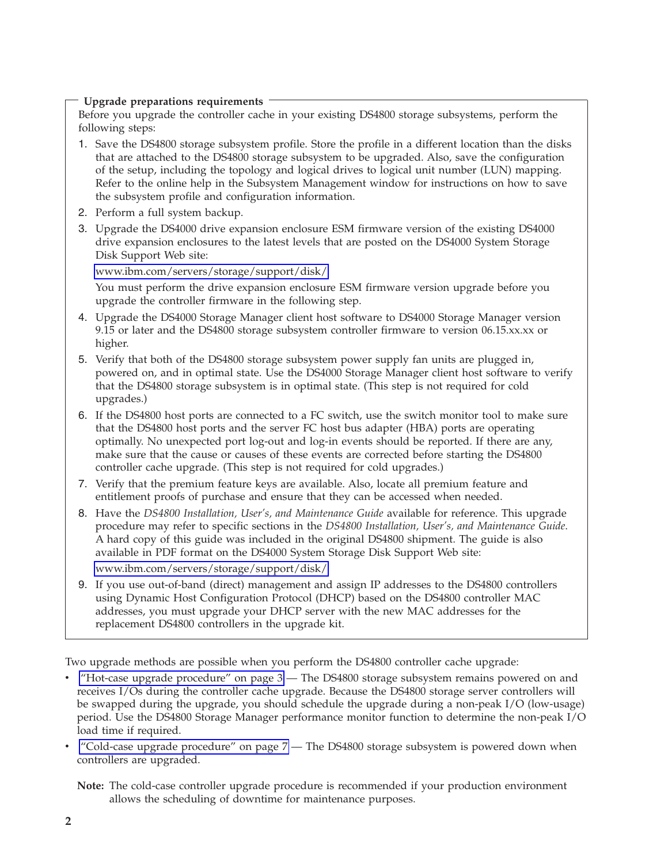#### <span id="page-1-0"></span>**Upgrade preparations requirements**

Before you upgrade the controller cache in your existing DS4800 storage subsystems, perform the following steps:

- 1. Save the DS4800 storage subsystem profile. Store the profile in a different location than the disks that are attached to the DS4800 storage subsystem to be upgraded. Also, save the configuration of the setup, including the topology and logical drives to logical unit number (LUN) mapping. Refer to the online help in the Subsystem Management window for instructions on how to save the subsystem profile and configuration information.
- 2. Perform a full system backup.
- 3. Upgrade the DS4000 drive expansion enclosure ESM firmware version of the existing DS4000 drive expansion enclosures to the latest levels that are posted on the DS4000 System Storage Disk Support Web site:

[www.ibm.com/servers/storage/support/disk/](http://www.ibm.com/servers/storage/support/disk/)

You must perform the drive expansion enclosure ESM firmware version upgrade before you upgrade the controller firmware in the following step.

- 4. Upgrade the DS4000 Storage Manager client host software to DS4000 Storage Manager version 9.15 or later and the DS4800 storage subsystem controller firmware to version 06.15.xx.xx or higher.
- 5. Verify that both of the DS4800 storage subsystem power supply fan units are plugged in, powered on, and in optimal state. Use the DS4000 Storage Manager client host software to verify that the DS4800 storage subsystem is in optimal state. (This step is not required for cold upgrades.)
- 6. If the DS4800 host ports are connected to a FC switch, use the switch monitor tool to make sure that the DS4800 host ports and the server FC host bus adapter (HBA) ports are operating optimally. No unexpected port log-out and log-in events should be reported. If there are any, make sure that the cause or causes of these events are corrected before starting the DS4800 controller cache upgrade. (This step is not required for cold upgrades.)
- 7. Verify that the premium feature keys are available. Also, locate all premium feature and entitlement proofs of purchase and ensure that they can be accessed when needed.
- 8. Have the *DS4800 Installation, User's, and Maintenance Guide* available for reference. This upgrade procedure may refer to specific sections in the *DS4800 Installation, User's, and Maintenance Guide*. A hard copy of this guide was included in the original DS4800 shipment. The guide is also available in PDF format on the DS4000 System Storage Disk Support Web site:

[www.ibm.com/servers/storage/support/disk/](http://www.ibm.com/servers/storage/support/disk/)

9. If you use out-of-band (direct) management and assign IP addresses to the DS4800 controllers using Dynamic Host Configuration Protocol (DHCP) based on the DS4800 controller MAC addresses, you must upgrade your DHCP server with the new MAC addresses for the replacement DS4800 controllers in the upgrade kit.

Two upgrade methods are possible when you perform the DS4800 controller cache upgrade:

- v "Hot-case upgrade [procedure"](#page-2-0) on page 3 The DS4800 storage subsystem remains powered on and receives I/Os during the controller cache upgrade. Because the DS4800 storage server controllers will be swapped during the upgrade, you should schedule the upgrade during a non-peak I/O (low-usage) period. Use the DS4800 Storage Manager performance monitor function to determine the non-peak I/O load time if required.
- "Cold-case upgrade [procedure"](#page-6-0) on page  $7-$  The DS4800 storage subsystem is powered down when controllers are upgraded.

**Note:** The cold-case controller upgrade procedure is recommended if your production environment allows the scheduling of downtime for maintenance purposes.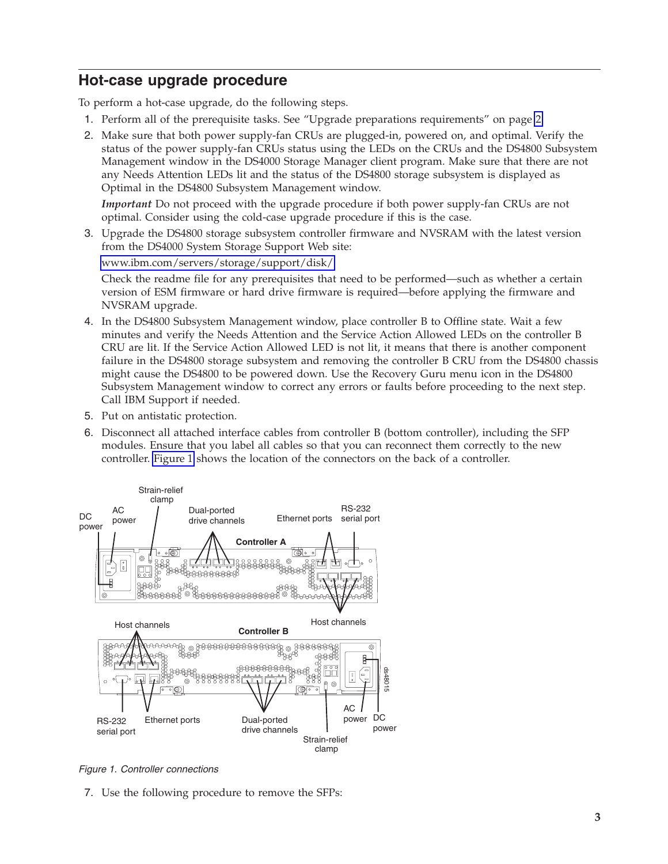## <span id="page-2-0"></span>**Hot-case upgrade procedure**

To perform a hot-case upgrade, do the following steps.

- 1. Perform all of the prerequisite tasks. See "Upgrade preparations requirements" on page [2.](#page-1-0)
- 2. Make sure that both power supply-fan CRUs are plugged-in, powered on, and optimal. Verify the status of the power supply-fan CRUs status using the LEDs on the CRUs and the DS4800 Subsystem Management window in the DS4000 Storage Manager client program. Make sure that there are not any Needs Attention LEDs lit and the status of the DS4800 storage subsystem is displayed as Optimal in the DS4800 Subsystem Management window.

*Important* Do not proceed with the upgrade procedure if both power supply-fan CRUs are not optimal. Consider using the cold-case upgrade procedure if this is the case.

3. Upgrade the DS4800 storage subsystem controller firmware and NVSRAM with the latest version from the DS4000 System Storage Support Web site:

[www.ibm.com/servers/storage/support/disk/](http://www.ibm.com/servers/storage/support/disk/)

Check the readme file for any prerequisites that need to be performed—such as whether a certain version of ESM firmware or hard drive firmware is required—before applying the firmware and NVSRAM upgrade.

- 4. In the DS4800 Subsystem Management window, place controller B to Offline state. Wait a few minutes and verify the Needs Attention and the Service Action Allowed LEDs on the controller B CRU are lit. If the Service Action Allowed LED is not lit, it means that there is another component failure in the DS4800 storage subsystem and removing the controller B CRU from the DS4800 chassis might cause the DS4800 to be powered down. Use the Recovery Guru menu icon in the DS4800 Subsystem Management window to correct any errors or faults before proceeding to the next step. Call IBM Support if needed.
- 5. Put on antistatic protection.
- 6. Disconnect all attached interface cables from controller B (bottom controller), including the SFP modules. Ensure that you label all cables so that you can reconnect them correctly to the new controller. Figure 1 shows the location of the connectors on the back of a controller.



*Figure 1. Controller connections*

7. Use the following procedure to remove the SFPs: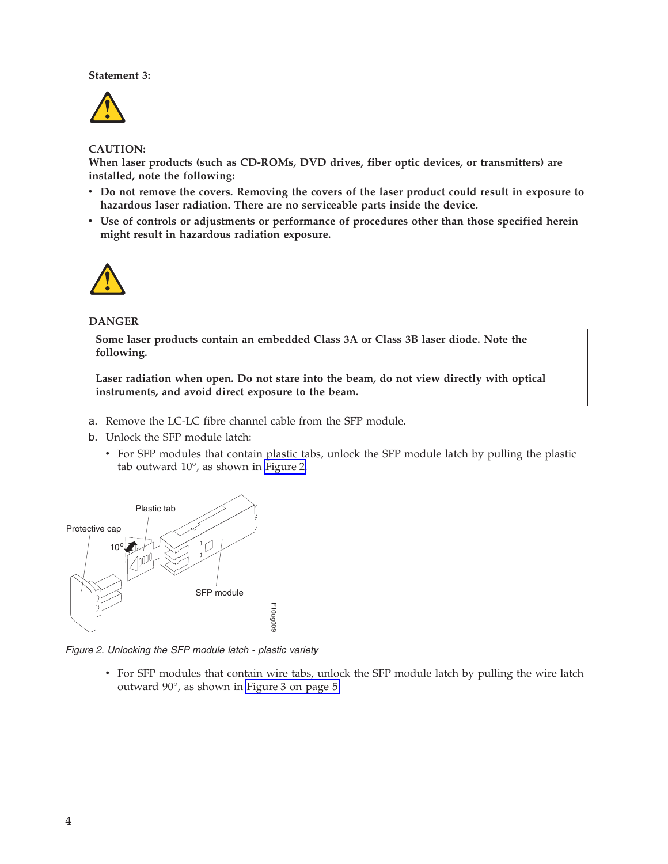#### **Statement 3:**



#### **CAUTION:**

**When laser products (such as CD-ROMs, DVD drives, fiber optic devices, or transmitters) are installed, note the following:**

- v **Do not remove the covers. Removing the covers of the laser product could result in exposure to hazardous laser radiation. There are no serviceable parts inside the device.**
- v **Use of controls or adjustments or performance of procedures other than those specified herein might result in hazardous radiation exposure.**



#### **DANGER**

**Some laser products contain an embedded Class 3A or Class 3B laser diode. Note the following.**

**Laser radiation when open. Do not stare into the beam, do not view directly with optical instruments, and avoid direct exposure to the beam.**

- a. Remove the LC-LC fibre channel cable from the SFP module.
- b. Unlock the SFP module latch:
	- v For SFP modules that contain plastic tabs, unlock the SFP module latch by pulling the plastic tab outward 10°, as shown in Figure 2.



*Figure 2. Unlocking the SFP module latch - plastic variety*

v For SFP modules that contain wire tabs, unlock the SFP module latch by pulling the wire latch outward 90°, as shown in [Figure](#page-4-0) 3 on page 5.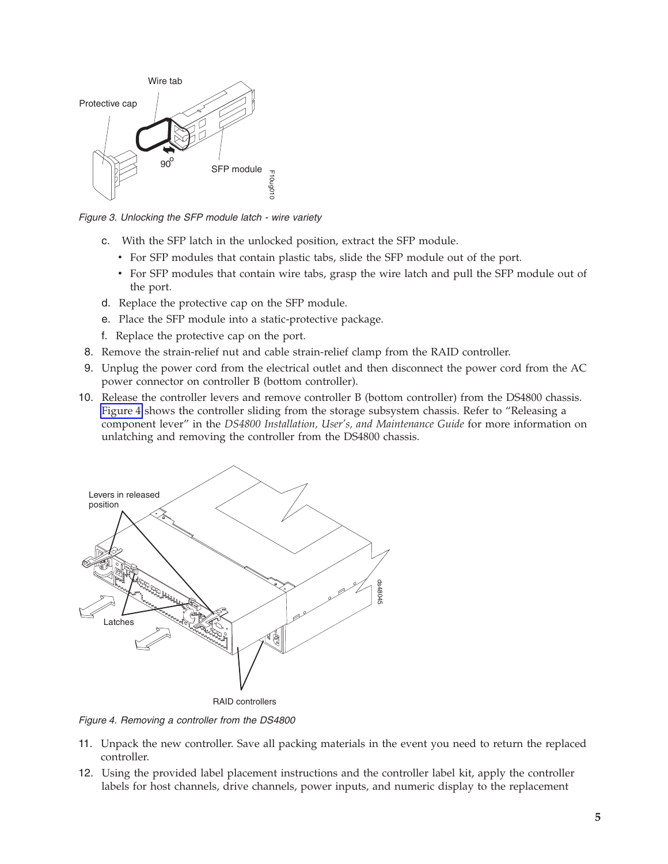<span id="page-4-0"></span>

*Figure 3. Unlocking the SFP module latch - wire variety*

- c. With the SFP latch in the unlocked position, extract the SFP module.
	- v For SFP modules that contain plastic tabs, slide the SFP module out of the port.
	- v For SFP modules that contain wire tabs, grasp the wire latch and pull the SFP module out of the port.
- d. Replace the protective cap on the SFP module.
- e. Place the SFP module into a static-protective package.
- f. Replace the protective cap on the port.
- 8. Remove the strain-relief nut and cable strain-relief clamp from the RAID controller.
- 9. Unplug the power cord from the electrical outlet and then disconnect the power cord from the AC power connector on controller B (bottom controller).
- 10. Release the controller levers and remove controller B (bottom controller) from the DS4800 chassis. Figure 4 shows the controller sliding from the storage subsystem chassis. Refer to "Releasing a component lever" in the *DS4800 Installation, User's, and Maintenance Guide* for more information on unlatching and removing the controller from the DS4800 chassis.



*Figure 4. Removing a controller from the DS4800*

- 11. Unpack the new controller. Save all packing materials in the event you need to return the replaced controller.
- 12. Using the provided label placement instructions and the controller label kit, apply the controller labels for host channels, drive channels, power inputs, and numeric display to the replacement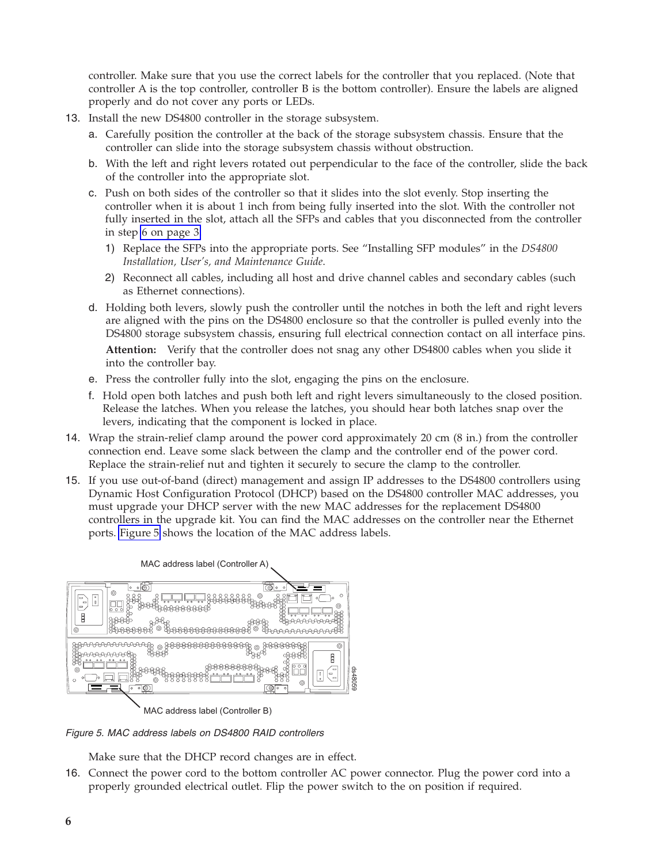controller. Make sure that you use the correct labels for the controller that you replaced. (Note that controller A is the top controller, controller B is the bottom controller). Ensure the labels are aligned properly and do not cover any ports or LEDs.

- 13. Install the new DS4800 controller in the storage subsystem.
	- a. Carefully position the controller at the back of the storage subsystem chassis. Ensure that the controller can slide into the storage subsystem chassis without obstruction.
	- b. With the left and right levers rotated out perpendicular to the face of the controller, slide the back of the controller into the appropriate slot.
	- c. Push on both sides of the controller so that it slides into the slot evenly. Stop inserting the controller when it is about 1 inch from being fully inserted into the slot. With the controller not fully inserted in the slot, attach all the SFPs and cables that you disconnected from the controller in step 6 on [page](#page-2-0) 3.
		- 1) Replace the SFPs into the appropriate ports. See "Installing SFP modules" in the *DS4800 Installation, User's, and Maintenance Guide*.
		- 2) Reconnect all cables, including all host and drive channel cables and secondary cables (such as Ethernet connections).
	- d. Holding both levers, slowly push the controller until the notches in both the left and right levers are aligned with the pins on the DS4800 enclosure so that the controller is pulled evenly into the DS4800 storage subsystem chassis, ensuring full electrical connection contact on all interface pins.

**Attention:** Verify that the controller does not snag any other DS4800 cables when you slide it into the controller bay.

- e. Press the controller fully into the slot, engaging the pins on the enclosure.
- f. Hold open both latches and push both left and right levers simultaneously to the closed position. Release the latches. When you release the latches, you should hear both latches snap over the levers, indicating that the component is locked in place.
- 14. Wrap the strain-relief clamp around the power cord approximately 20 cm (8 in.) from the controller connection end. Leave some slack between the clamp and the controller end of the power cord. Replace the strain-relief nut and tighten it securely to secure the clamp to the controller.
- 15. If you use out-of-band (direct) management and assign IP addresses to the DS4800 controllers using Dynamic Host Configuration Protocol (DHCP) based on the DS4800 controller MAC addresses, you must upgrade your DHCP server with the new MAC addresses for the replacement DS4800 controllers in the upgrade kit. You can find the MAC addresses on the controller near the Ethernet ports. Figure 5 shows the location of the MAC address labels.



MAC address label (Controller B)

*Figure 5. MAC address labels on DS4800 RAID controllers*

Make sure that the DHCP record changes are in effect.

16. Connect the power cord to the bottom controller AC power connector. Plug the power cord into a properly grounded electrical outlet. Flip the power switch to the on position if required.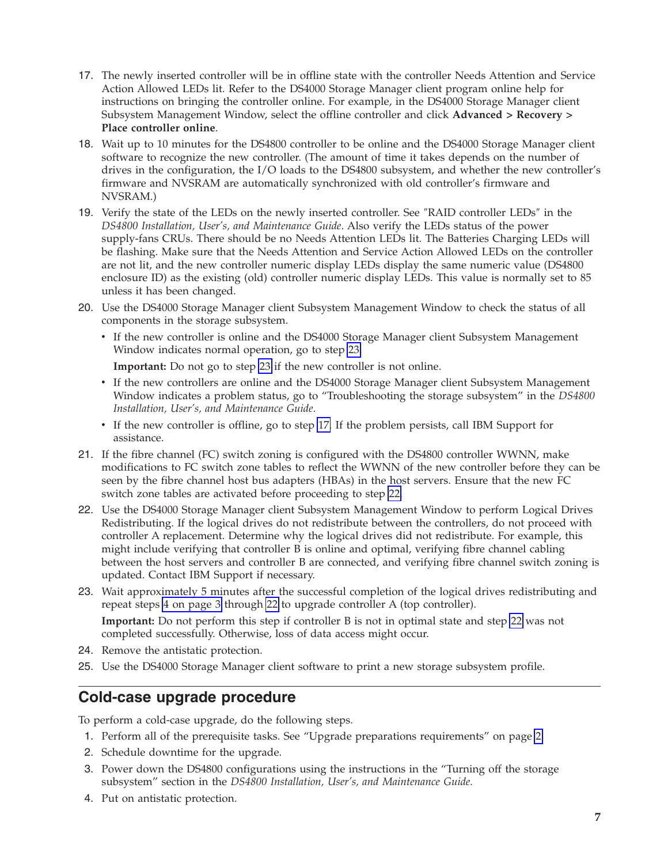- <span id="page-6-0"></span>17. The newly inserted controller will be in offline state with the controller Needs Attention and Service Action Allowed LEDs lit. Refer to the DS4000 Storage Manager client program online help for instructions on bringing the controller online. For example, in the DS4000 Storage Manager client Subsystem Management Window, select the offline controller and click **Advanced > Recovery > Place controller online**.
- 18. Wait up to 10 minutes for the DS4800 controller to be online and the DS4000 Storage Manager client software to recognize the new controller. (The amount of time it takes depends on the number of drives in the configuration, the I/O loads to the DS4800 subsystem, and whether the new controller's firmware and NVSRAM are automatically synchronized with old controller's firmware and NVSRAM.)
- 19. Verify the state of the LEDs on the newly inserted controller. See ″RAID controller LEDs″ in the *DS4800 Installation, User's, and Maintenance Guide*. Also verify the LEDs status of the power supply-fans CRUs. There should be no Needs Attention LEDs lit. The Batteries Charging LEDs will be flashing. Make sure that the Needs Attention and Service Action Allowed LEDs on the controller are not lit, and the new controller numeric display LEDs display the same numeric value (DS4800 enclosure ID) as the existing (old) controller numeric display LEDs. This value is normally set to 85 unless it has been changed.
- 20. Use the DS4000 Storage Manager client Subsystem Management Window to check the status of all components in the storage subsystem.
	- v If the new controller is online and the DS4000 Storage Manager client Subsystem Management Window indicates normal operation, go to step 23.

**Important:** Do not go to step 23 if the new controller is not online.

- v If the new controllers are online and the DS4000 Storage Manager client Subsystem Management Window indicates a problem status, go to "Troubleshooting the storage subsystem" in the *DS4800 Installation, User's, and Maintenance Guide*.
- v If the new controller is offline, go to step 17. If the problem persists, call IBM Support for assistance.
- 21. If the fibre channel (FC) switch zoning is configured with the DS4800 controller WWNN, make modifications to FC switch zone tables to reflect the WWNN of the new controller before they can be seen by the fibre channel host bus adapters (HBAs) in the host servers. Ensure that the new FC switch zone tables are activated before proceeding to step 22.
- 22. Use the DS4000 Storage Manager client Subsystem Management Window to perform Logical Drives Redistributing. If the logical drives do not redistribute between the controllers, do not proceed with controller A replacement. Determine why the logical drives did not redistribute. For example, this might include verifying that controller B is online and optimal, verifying fibre channel cabling between the host servers and controller B are connected, and verifying fibre channel switch zoning is updated. Contact IBM Support if necessary.
- 23. Wait approximately 5 minutes after the successful completion of the logical drives redistributing and repeat steps 4 on [page](#page-2-0) 3 through 22 to upgrade controller A (top controller). **Important:** Do not perform this step if controller B is not in optimal state and step 22 was not completed successfully. Otherwise, loss of data access might occur.
- 24. Remove the antistatic protection.
- 25. Use the DS4000 Storage Manager client software to print a new storage subsystem profile.

### **Cold-case upgrade procedure**

To perform a cold-case upgrade, do the following steps.

- 1. Perform all of the prerequisite tasks. See "Upgrade preparations requirements" on page [2.](#page-1-0)
- 2. Schedule downtime for the upgrade.
- 3. Power down the DS4800 configurations using the instructions in the "Turning off the storage subsystem" section in the *DS4800 Installation, User's, and Maintenance Guide.*
- 4. Put on antistatic protection.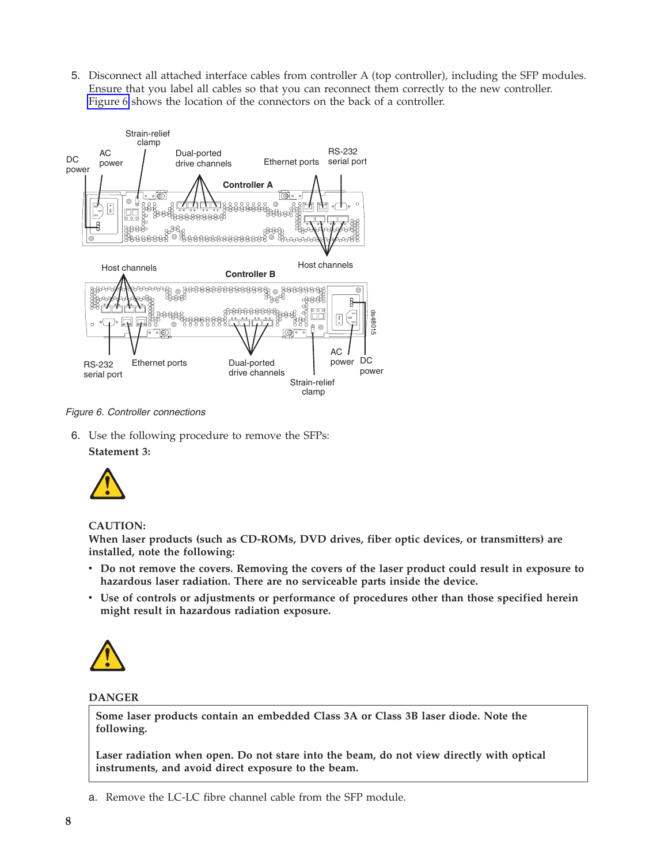<span id="page-7-0"></span>5. Disconnect all attached interface cables from controller A (top controller), including the SFP modules. Ensure that you label all cables so that you can reconnect them correctly to the new controller. Figure 6 shows the location of the connectors on the back of a controller.



*Figure 6. Controller connections*

6. Use the following procedure to remove the SFPs: **Statement 3:**



#### **CAUTION:**

**When laser products (such as CD-ROMs, DVD drives, fiber optic devices, or transmitters) are installed, note the following:**

- v **Do not remove the covers. Removing the covers of the laser product could result in exposure to hazardous laser radiation. There are no serviceable parts inside the device.**
- v **Use of controls or adjustments or performance of procedures other than those specified herein might result in hazardous radiation exposure.**



#### **DANGER**

**Some laser products contain an embedded Class 3A or Class 3B laser diode. Note the following.**

**Laser radiation when open. Do not stare into the beam, do not view directly with optical instruments, and avoid direct exposure to the beam.**

a. Remove the LC-LC fibre channel cable from the SFP module.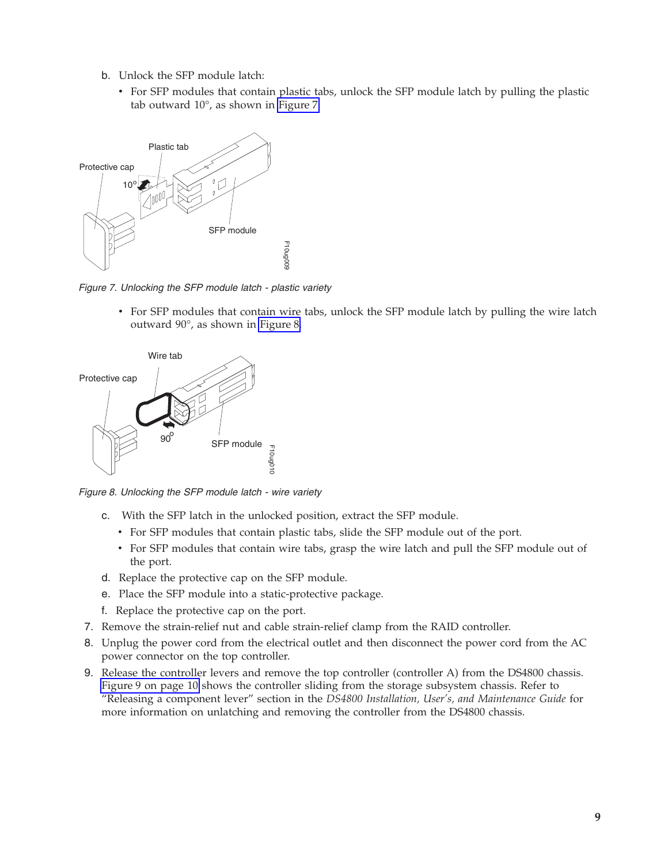- b. Unlock the SFP module latch:
	- v For SFP modules that contain plastic tabs, unlock the SFP module latch by pulling the plastic tab outward 10°, as shown in Figure 7.



*Figure 7. Unlocking the SFP module latch - plastic variety*

• For SFP modules that contain wire tabs, unlock the SFP module latch by pulling the wire latch outward 90°, as shown in Figure 8.



*Figure 8. Unlocking the SFP module latch - wire variety*

- c. With the SFP latch in the unlocked position, extract the SFP module.
	- v For SFP modules that contain plastic tabs, slide the SFP module out of the port.
	- v For SFP modules that contain wire tabs, grasp the wire latch and pull the SFP module out of the port.
- d. Replace the protective cap on the SFP module.
- e. Place the SFP module into a static-protective package.
- f. Replace the protective cap on the port.
- 7. Remove the strain-relief nut and cable strain-relief clamp from the RAID controller.
- 8. Unplug the power cord from the electrical outlet and then disconnect the power cord from the AC power connector on the top controller.
- 9. Release the controller levers and remove the top controller (controller A) from the DS4800 chassis. [Figure](#page-9-0) 9 on page 10 shows the controller sliding from the storage subsystem chassis. Refer to "Releasing a component lever" section in the *DS4800 Installation, User's, and Maintenance Guide* for more information on unlatching and removing the controller from the DS4800 chassis.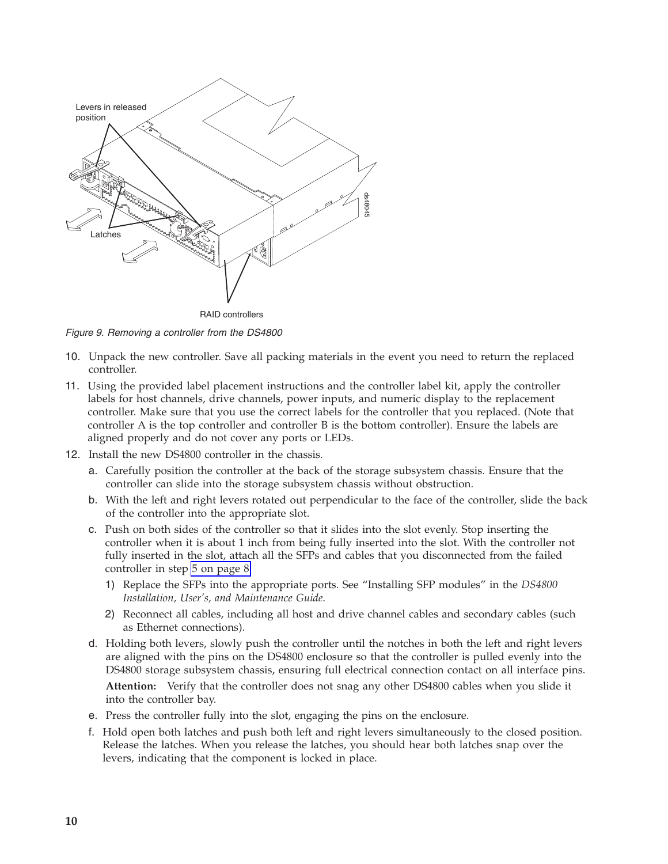<span id="page-9-0"></span>

*Figure 9. Removing a controller from the DS4800*

- 10. Unpack the new controller. Save all packing materials in the event you need to return the replaced controller.
- 11. Using the provided label placement instructions and the controller label kit, apply the controller labels for host channels, drive channels, power inputs, and numeric display to the replacement controller. Make sure that you use the correct labels for the controller that you replaced. (Note that controller A is the top controller and controller B is the bottom controller). Ensure the labels are aligned properly and do not cover any ports or LEDs.
- 12. Install the new DS4800 controller in the chassis.
	- a. Carefully position the controller at the back of the storage subsystem chassis. Ensure that the controller can slide into the storage subsystem chassis without obstruction.
	- b. With the left and right levers rotated out perpendicular to the face of the controller, slide the back of the controller into the appropriate slot.
	- c. Push on both sides of the controller so that it slides into the slot evenly. Stop inserting the controller when it is about 1 inch from being fully inserted into the slot. With the controller not fully inserted in the slot, attach all the SFPs and cables that you disconnected from the failed controller in step 5 on [page](#page-7-0) 8.
		- 1) Replace the SFPs into the appropriate ports. See "Installing SFP modules" in the *DS4800 Installation, User's, and Maintenance Guide*.
		- 2) Reconnect all cables, including all host and drive channel cables and secondary cables (such as Ethernet connections).
	- d. Holding both levers, slowly push the controller until the notches in both the left and right levers are aligned with the pins on the DS4800 enclosure so that the controller is pulled evenly into the DS4800 storage subsystem chassis, ensuring full electrical connection contact on all interface pins. **Attention:** Verify that the controller does not snag any other DS4800 cables when you slide it into the controller bay.
	- e. Press the controller fully into the slot, engaging the pins on the enclosure.
	- f. Hold open both latches and push both left and right levers simultaneously to the closed position. Release the latches. When you release the latches, you should hear both latches snap over the levers, indicating that the component is locked in place.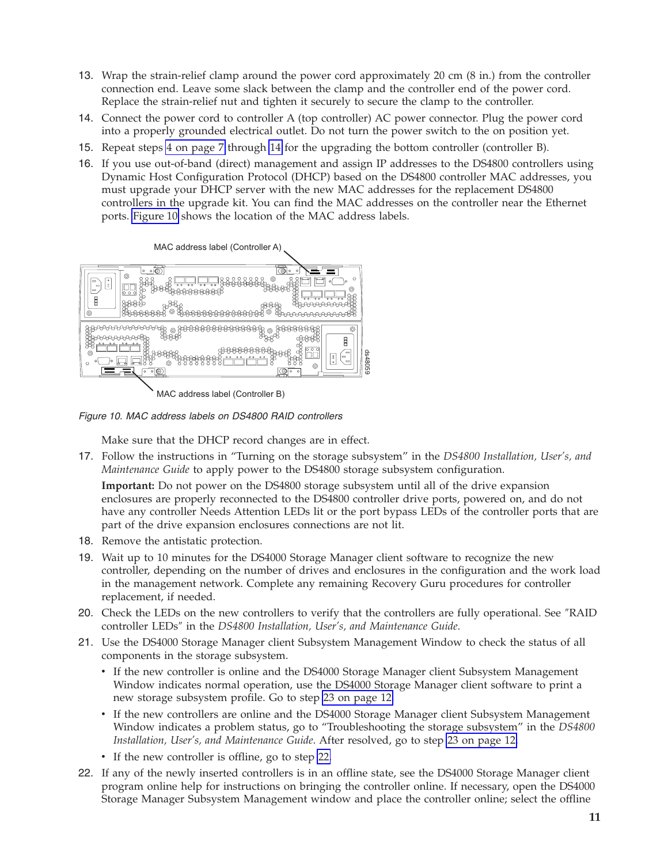- <span id="page-10-0"></span>13. Wrap the strain-relief clamp around the power cord approximately 20 cm (8 in.) from the controller connection end. Leave some slack between the clamp and the controller end of the power cord. Replace the strain-relief nut and tighten it securely to secure the clamp to the controller.
- 14. Connect the power cord to controller A (top controller) AC power connector. Plug the power cord into a properly grounded electrical outlet. Do not turn the power switch to the on position yet.
- 15. Repeat steps 4 on [page](#page-6-0) 7 through 14 for the upgrading the bottom controller (controller B).
- 16. If you use out-of-band (direct) management and assign IP addresses to the DS4800 controllers using Dynamic Host Configuration Protocol (DHCP) based on the DS4800 controller MAC addresses, you must upgrade your DHCP server with the new MAC addresses for the replacement DS4800 controllers in the upgrade kit. You can find the MAC addresses on the controller near the Ethernet ports. Figure 10 shows the location of the MAC address labels.



MAC address label (Controller B)

*Figure 10. MAC address labels on DS4800 RAID controllers*

Make sure that the DHCP record changes are in effect.

17. Follow the instructions in "Turning on the storage subsystem" in the *DS4800 Installation, User's, and Maintenance Guide* to apply power to the DS4800 storage subsystem configuration.

**Important:** Do not power on the DS4800 storage subsystem until all of the drive expansion enclosures are properly reconnected to the DS4800 controller drive ports, powered on, and do not have any controller Needs Attention LEDs lit or the port bypass LEDs of the controller ports that are part of the drive expansion enclosures connections are not lit.

- 18. Remove the antistatic protection.
- 19. Wait up to 10 minutes for the DS4000 Storage Manager client software to recognize the new controller, depending on the number of drives and enclosures in the configuration and the work load in the management network. Complete any remaining Recovery Guru procedures for controller replacement, if needed.
- 20. Check the LEDs on the new controllers to verify that the controllers are fully operational. See ″RAID controller LEDs″ in the *DS4800 Installation, User's, and Maintenance Guide*.
- 21. Use the DS4000 Storage Manager client Subsystem Management Window to check the status of all components in the storage subsystem.
	- v If the new controller is online and the DS4000 Storage Manager client Subsystem Management Window indicates normal operation, use the DS4000 Storage Manager client software to print a new storage subsystem profile. Go to step 23 on [page](#page-11-0) 12.
	- v If the new controllers are online and the DS4000 Storage Manager client Subsystem Management Window indicates a problem status, go to "Troubleshooting the storage subsystem" in the *DS4800 Installation, User's, and Maintenance Guide*. After resolved, go to step 23 on [page](#page-11-0) 12.
	- If the new controller is offline, go to step 22.
- 22. If any of the newly inserted controllers is in an offline state, see the DS4000 Storage Manager client program online help for instructions on bringing the controller online. If necessary, open the DS4000 Storage Manager Subsystem Management window and place the controller online; select the offline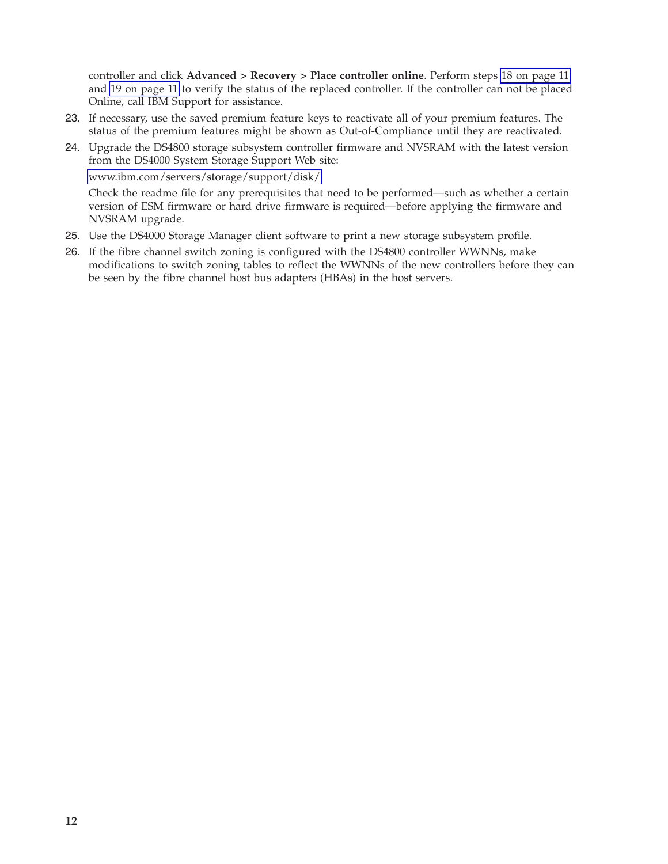<span id="page-11-0"></span>controller and click **Advanced > Recovery > Place controller online**. Perform steps 18 on [page](#page-10-0) 11 and 19 on [page](#page-10-0) 11 to verify the status of the replaced controller. If the controller can not be placed Online, call IBM Support for assistance.

- 23. If necessary, use the saved premium feature keys to reactivate all of your premium features. The status of the premium features might be shown as Out-of-Compliance until they are reactivated.
- 24. Upgrade the DS4800 storage subsystem controller firmware and NVSRAM with the latest version from the DS4000 System Storage Support Web site:

[www.ibm.com/servers/storage/support/disk/](http://www.ibm.com/servers/storage/support/disk/)

Check the readme file for any prerequisites that need to be performed—such as whether a certain version of ESM firmware or hard drive firmware is required—before applying the firmware and NVSRAM upgrade.

- 25. Use the DS4000 Storage Manager client software to print a new storage subsystem profile.
- 26. If the fibre channel switch zoning is configured with the DS4800 controller WWNNs, make modifications to switch zoning tables to reflect the WWNNs of the new controllers before they can be seen by the fibre channel host bus adapters (HBAs) in the host servers.